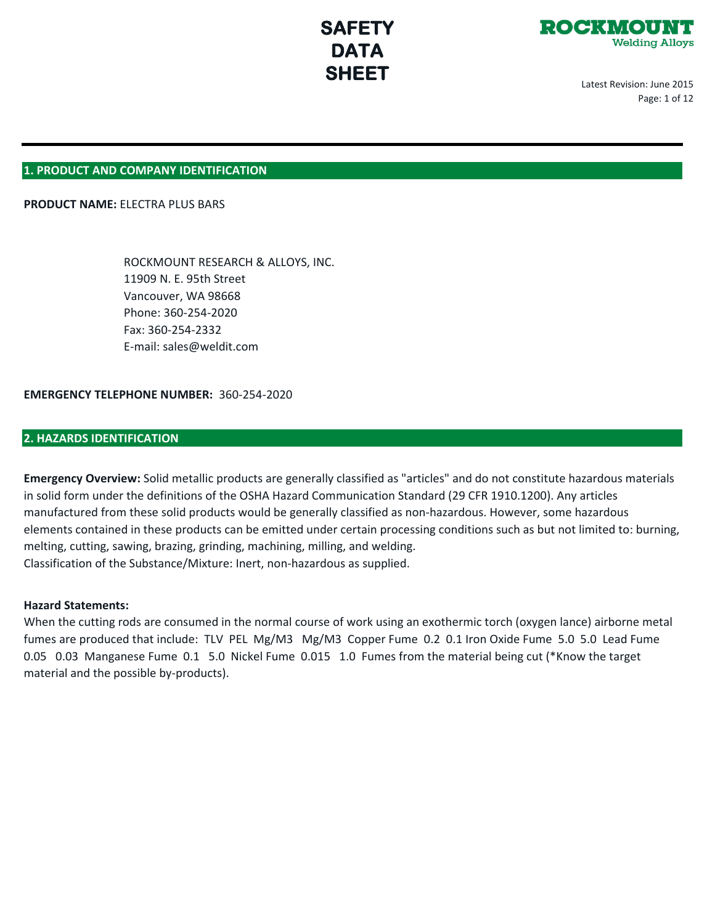

Latest Revision: June 2015 Page: 1 of 12

## **1. PRODUCT AND COMPANY IDENTIFICATION**

## **PRODUCT NAME:** ELECTRA PLUS BARS

 ROCKMOUNT RESEARCH & ALLOYS, INC. 11909 N. E. 95th Street Vancouver, WA 98668 Phone: 360-254-2020 Fax: 360-254-2332 E-mail: sales@weldit.com

## **EMERGENCY TELEPHONE NUMBER:** 360-254-2020

## **2. HAZARDS IDENTIFICATION**

**Emergency Overview:** Solid metallic products are generally classified as "articles" and do not constitute hazardous materials in solid form under the definitions of the OSHA Hazard Communication Standard (29 CFR 1910.1200). Any articles manufactured from these solid products would be generally classified as non-hazardous. However, some hazardous elements contained in these products can be emitted under certain processing conditions such as but not limited to: burning, melting, cutting, sawing, brazing, grinding, machining, milling, and welding. Classification of the Substance/Mixture: Inert, non-hazardous as supplied.

#### **Hazard Statements:**

When the cutting rods are consumed in the normal course of work using an exothermic torch (oxygen lance) airborne metal fumes are produced that include: TLV PEL Mg/M3 Mg/M3 Copper Fume 0.2 0.1 Iron Oxide Fume 5.0 5.0 Lead Fume 0.05 0.03 Manganese Fume 0.1 5.0 Nickel Fume 0.015 1.0 Fumes from the material being cut (\*Know the target material and the possible by-products).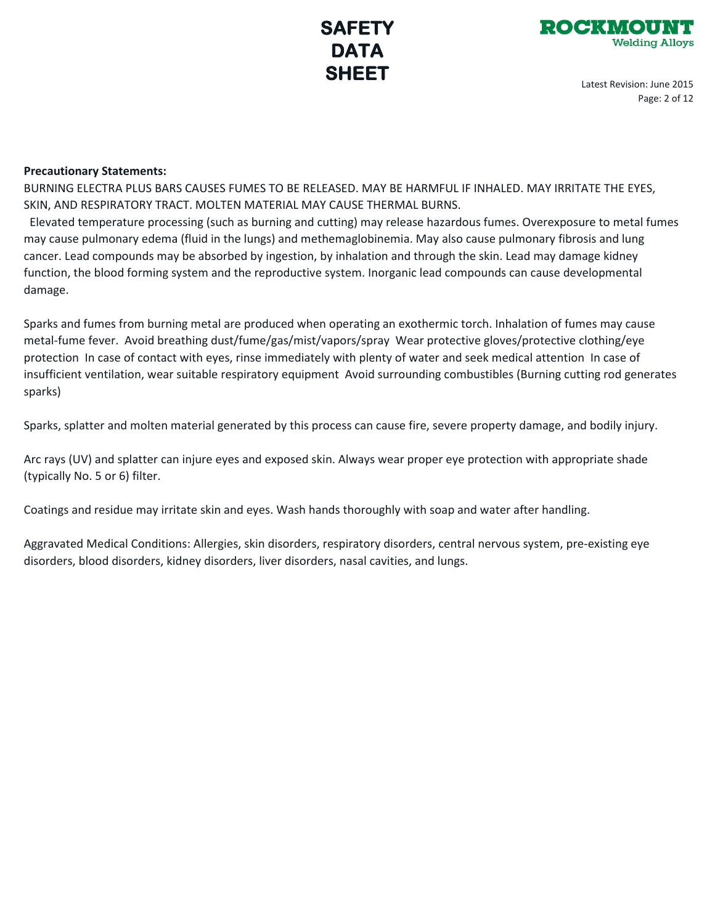



Latest Revision: June 2015 Page: 2 of 12

## **Precautionary Statements:**

BURNING ELECTRA PLUS BARS CAUSES FUMES TO BE RELEASED. MAY BE HARMFUL IF INHALED. MAY IRRITATE THE EYES, SKIN, AND RESPIRATORY TRACT. MOLTEN MATERIAL MAY CAUSE THERMAL BURNS.

 Elevated temperature processing (such as burning and cutting) may release hazardous fumes. Overexposure to metal fumes may cause pulmonary edema (fluid in the lungs) and methemaglobinemia. May also cause pulmonary fibrosis and lung cancer. Lead compounds may be absorbed by ingestion, by inhalation and through the skin. Lead may damage kidney function, the blood forming system and the reproductive system. Inorganic lead compounds can cause developmental damage.

Sparks and fumes from burning metal are produced when operating an exothermic torch. Inhalation of fumes may cause metal-fume fever. Avoid breathing dust/fume/gas/mist/vapors/spray Wear protective gloves/protective clothing/eye protection In case of contact with eyes, rinse immediately with plenty of water and seek medical attention In case of insufficient ventilation, wear suitable respiratory equipment Avoid surrounding combustibles (Burning cutting rod generates sparks)

Sparks, splatter and molten material generated by this process can cause fire, severe property damage, and bodily injury.

Arc rays (UV) and splatter can injure eyes and exposed skin. Always wear proper eye protection with appropriate shade (typically No. 5 or 6) filter.

Coatings and residue may irritate skin and eyes. Wash hands thoroughly with soap and water after handling.

Aggravated Medical Conditions: Allergies, skin disorders, respiratory disorders, central nervous system, pre-existing eye disorders, blood disorders, kidney disorders, liver disorders, nasal cavities, and lungs.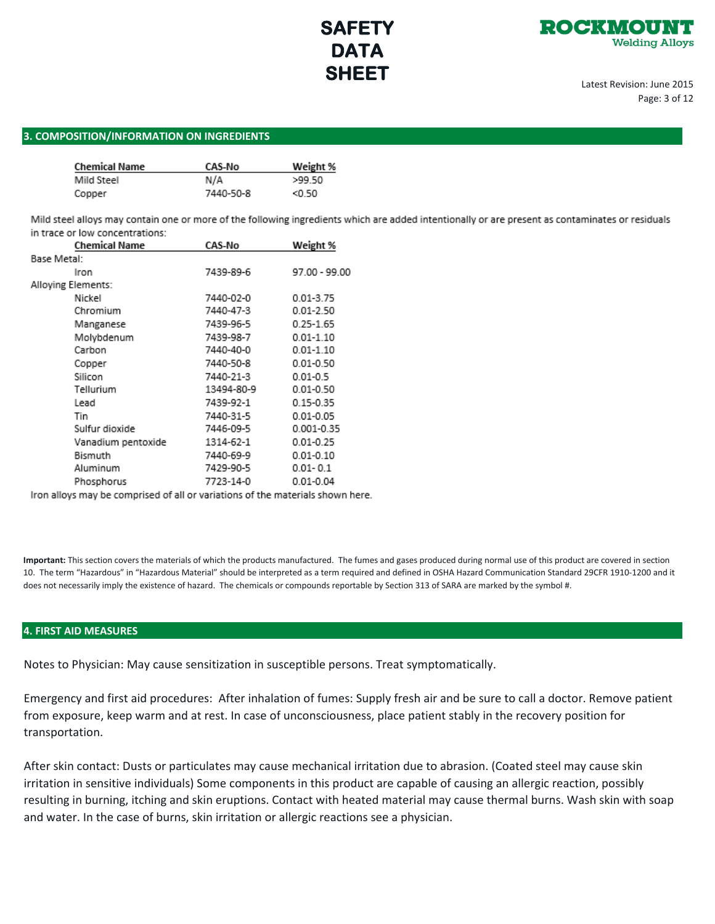

Latest Revision: June 2015 Page: 3 of 12

## **3. COMPOSITION/INFORMATION ON INGREDIENTS**

| <b>Chemical Name</b> | CAS-No    | Weight % |  |
|----------------------|-----------|----------|--|
| Mild Steel           | N/A       | >99.50   |  |
| Copper               | 7440-50-8 | < 0.50   |  |

Mild steel alloys may contain one or more of the following ingredients which are added intentionally or are present as contaminates or residuals in trace or low concentrations:

| <b>Chemical Name</b> | CAS-No     | Weight %      |
|----------------------|------------|---------------|
| Base Metal:          |            |               |
| Iron                 | 7439-89-6  | 97.00 - 99.00 |
| Alloying Elements:   |            |               |
| Nickel               | 7440-02-0  | 0.01-3.75     |
| Chromium             | 7440-47-3  | $0.01 - 2.50$ |
| Manganese            | 7439-96-5  | $0.25 - 1.65$ |
| Molybdenum           | 7439-98-7  | $0.01 - 1.10$ |
| Carbon               | 7440-40-0  | $0.01 - 1.10$ |
| Copper               | 7440-50-8  | $0.01 - 0.50$ |
| Silicon              | 7440-21-3  | $0.01 - 0.5$  |
| Tellurium            | 13494-80-9 | $0.01 - 0.50$ |
| Lead                 | 7439-92-1  | 0.15-0.35     |
| Tin                  | 7440-31-5  | 0.01-0.05     |
| Sulfur dioxide       | 7446-09-5  | 0.001-0.35    |
| Vanadium pentoxide   | 1314-62-1  | $0.01 - 0.25$ |
| Bismuth              | 7440-69-9  | $0.01 - 0.10$ |
| Aluminum             | 7429-90-5  | $0.01 - 0.1$  |
| Phosphorus           | 7723-14-0  | 0.01-0.04     |

Iron alloys may be comprised of all or variations of the materials shown here.

**Important:** This section covers the materials of which the products manufactured. The fumes and gases produced during normal use of this product are covered in section 10. The term "Hazardous" in "Hazardous Material" should be interpreted as a term required and defined in OSHA Hazard Communication Standard 29CFR 1910-1200 and it does not necessarily imply the existence of hazard. The chemicals or compounds reportable by Section 313 of SARA are marked by the symbol #.

## **4. FIRST AID MEASURES**

Notes to Physician: May cause sensitization in susceptible persons. Treat symptomatically.

Emergency and first aid procedures: After inhalation of fumes: Supply fresh air and be sure to call a doctor. Remove patient from exposure, keep warm and at rest. In case of unconsciousness, place patient stably in the recovery position for transportation.

After skin contact: Dusts or particulates may cause mechanical irritation due to abrasion. (Coated steel may cause skin irritation in sensitive individuals) Some components in this product are capable of causing an allergic reaction, possibly resulting in burning, itching and skin eruptions. Contact with heated material may cause thermal burns. Wash skin with soap and water. In the case of burns, skin irritation or allergic reactions see a physician.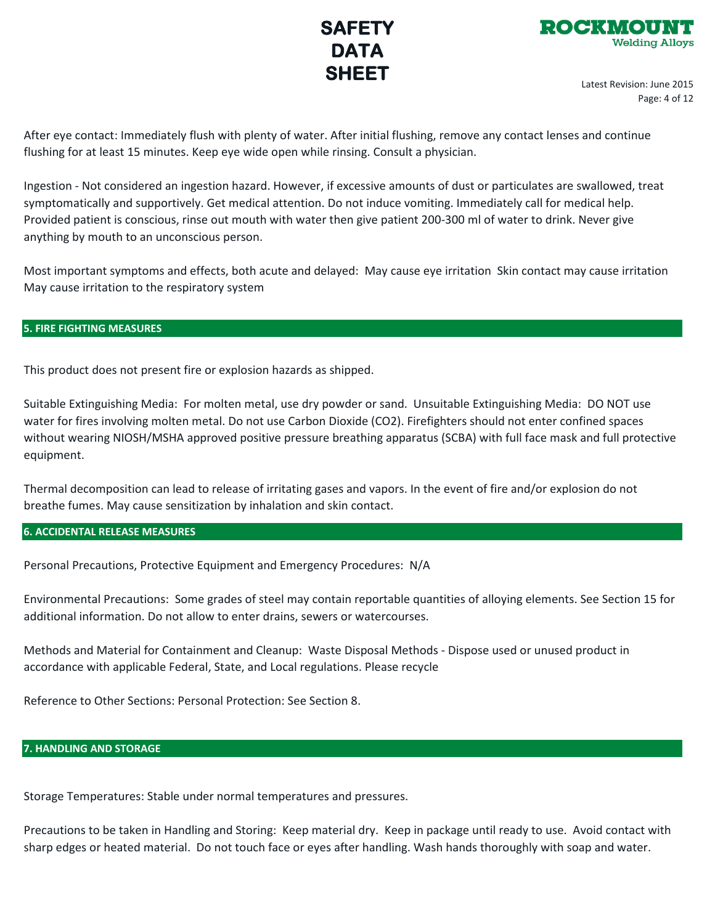



Latest Revision: June 2015 Page: 4 of 12

After eye contact: Immediately flush with plenty of water. After initial flushing, remove any contact lenses and continue flushing for at least 15 minutes. Keep eye wide open while rinsing. Consult a physician.

Ingestion - Not considered an ingestion hazard. However, if excessive amounts of dust or particulates are swallowed, treat symptomatically and supportively. Get medical attention. Do not induce vomiting. Immediately call for medical help. Provided patient is conscious, rinse out mouth with water then give patient 200-300 ml of water to drink. Never give anything by mouth to an unconscious person.

Most important symptoms and effects, both acute and delayed: May cause eye irritation Skin contact may cause irritation May cause irritation to the respiratory system

## **5. FIRE FIGHTING MEASURES**

This product does not present fire or explosion hazards as shipped.

Suitable Extinguishing Media: For molten metal, use dry powder or sand. Unsuitable Extinguishing Media: DO NOT use water for fires involving molten metal. Do not use Carbon Dioxide (CO2). Firefighters should not enter confined spaces without wearing NIOSH/MSHA approved positive pressure breathing apparatus (SCBA) with full face mask and full protective equipment.

Thermal decomposition can lead to release of irritating gases and vapors. In the event of fire and/or explosion do not breathe fumes. May cause sensitization by inhalation and skin contact.

**6. ACCIDENTAL RELEASE MEASURES**

Personal Precautions, Protective Equipment and Emergency Procedures: N/A

Environmental Precautions: Some grades of steel may contain reportable quantities of alloying elements. See Section 15 for additional information. Do not allow to enter drains, sewers or watercourses.

Methods and Material for Containment and Cleanup: Waste Disposal Methods - Dispose used or unused product in accordance with applicable Federal, State, and Local regulations. Please recycle

Reference to Other Sections: Personal Protection: See Section 8.

## **7. HANDLING AND STORAGE**

Storage Temperatures: Stable under normal temperatures and pressures.

Precautions to be taken in Handling and Storing: Keep material dry. Keep in package until ready to use. Avoid contact with sharp edges or heated material. Do not touch face or eyes after handling. Wash hands thoroughly with soap and water.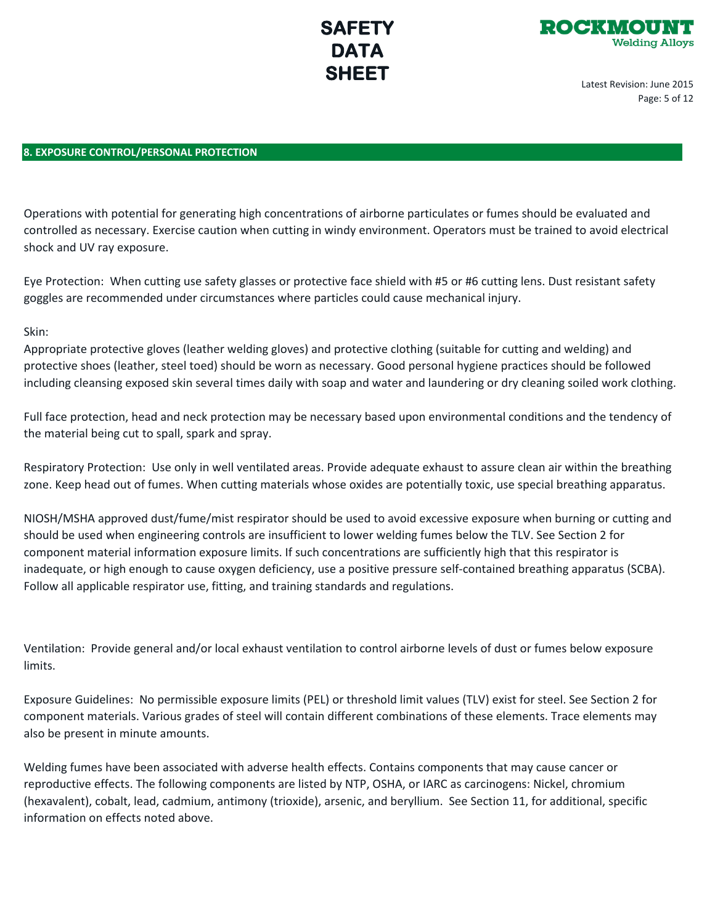



Latest Revision: June 2015 Page: 5 of 12

## **8. EXPOSURE CONTROL/PERSONAL PROTECTION**

Operations with potential for generating high concentrations of airborne particulates or fumes should be evaluated and controlled as necessary. Exercise caution when cutting in windy environment. Operators must be trained to avoid electrical shock and UV ray exposure.

Eye Protection: When cutting use safety glasses or protective face shield with #5 or #6 cutting lens. Dust resistant safety goggles are recommended under circumstances where particles could cause mechanical injury.

## Skin:

Appropriate protective gloves (leather welding gloves) and protective clothing (suitable for cutting and welding) and protective shoes (leather, steel toed) should be worn as necessary. Good personal hygiene practices should be followed including cleansing exposed skin several times daily with soap and water and laundering or dry cleaning soiled work clothing.

Full face protection, head and neck protection may be necessary based upon environmental conditions and the tendency of the material being cut to spall, spark and spray.

Respiratory Protection: Use only in well ventilated areas. Provide adequate exhaust to assure clean air within the breathing zone. Keep head out of fumes. When cutting materials whose oxides are potentially toxic, use special breathing apparatus.

NIOSH/MSHA approved dust/fume/mist respirator should be used to avoid excessive exposure when burning or cutting and should be used when engineering controls are insufficient to lower welding fumes below the TLV. See Section 2 for component material information exposure limits. If such concentrations are sufficiently high that this respirator is inadequate, or high enough to cause oxygen deficiency, use a positive pressure self-contained breathing apparatus (SCBA). Follow all applicable respirator use, fitting, and training standards and regulations.

Ventilation: Provide general and/or local exhaust ventilation to control airborne levels of dust or fumes below exposure limits.

Exposure Guidelines: No permissible exposure limits (PEL) or threshold limit values (TLV) exist for steel. See Section 2 for component materials. Various grades of steel will contain different combinations of these elements. Trace elements may also be present in minute amounts.

Welding fumes have been associated with adverse health effects. Contains components that may cause cancer or reproductive effects. The following components are listed by NTP, OSHA, or IARC as carcinogens: Nickel, chromium (hexavalent), cobalt, lead, cadmium, antimony (trioxide), arsenic, and beryllium. See Section 11, for additional, specific information on effects noted above.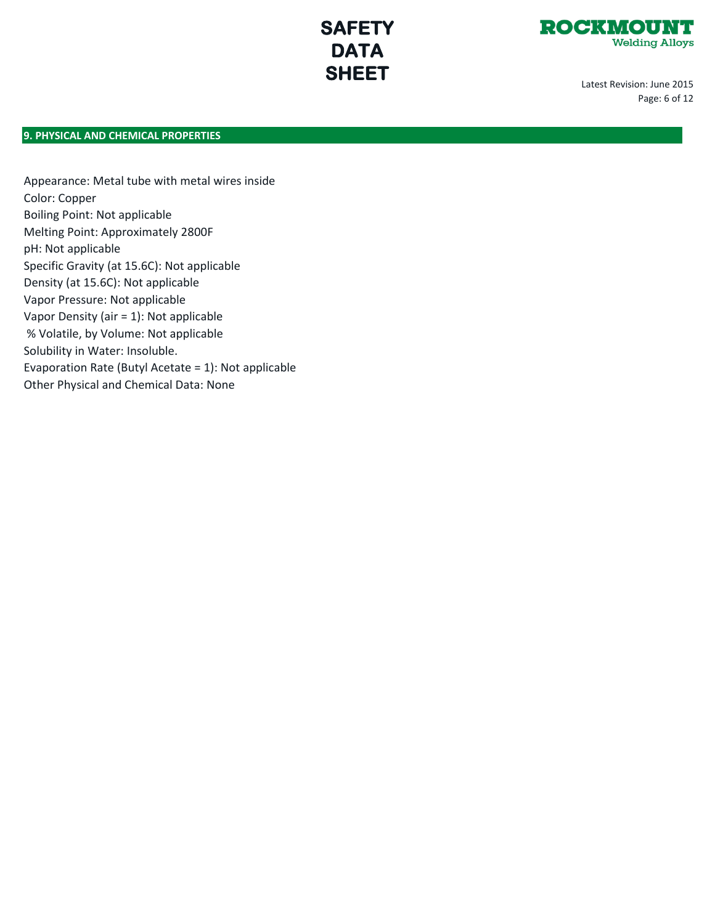

Latest Revision: June 2015 Page: 6 of 12

## **9. PHYSICAL AND CHEMICAL PROPERTIES**

Appearance: Metal tube with metal wires inside Color: Copper Boiling Point: Not applicable Melting Point: Approximately 2800F pH: Not applicable Specific Gravity (at 15.6C): Not applicable Density (at 15.6C): Not applicable Vapor Pressure: Not applicable Vapor Density (air = 1): Not applicable % Volatile, by Volume: Not applicable Solubility in Water: Insoluble. Evaporation Rate (Butyl Acetate = 1): Not applicable Other Physical and Chemical Data: None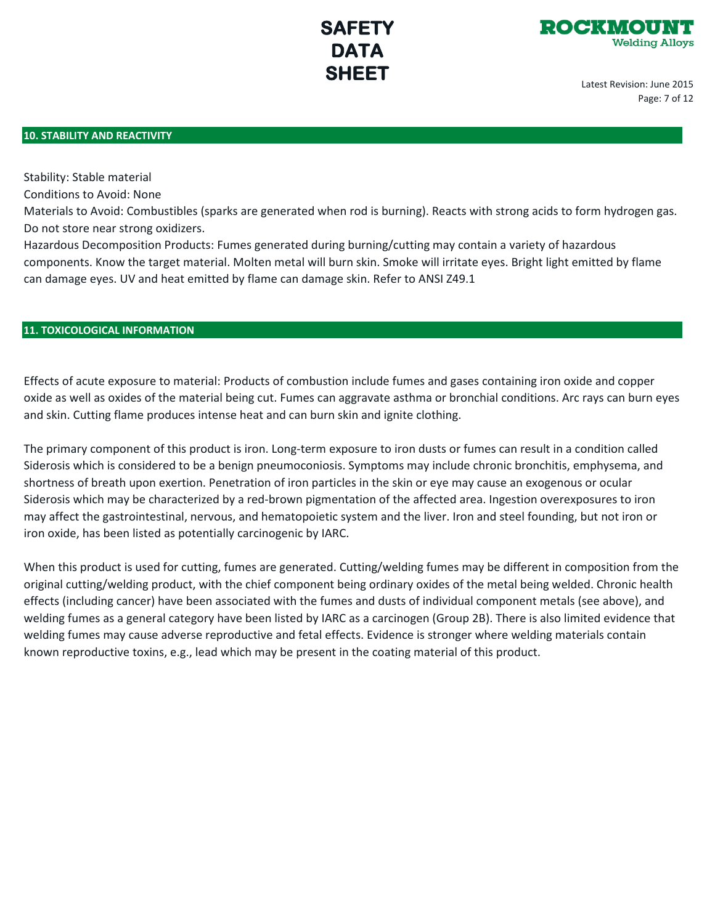

Latest Revision: June 2015 Page: 7 of 12

## **10. STABILITY AND REACTIVITY**

Stability: Stable material

Conditions to Avoid: None

Materials to Avoid: Combustibles (sparks are generated when rod is burning). Reacts with strong acids to form hydrogen gas. Do not store near strong oxidizers.

Hazardous Decomposition Products: Fumes generated during burning/cutting may contain a variety of hazardous components. Know the target material. Molten metal will burn skin. Smoke will irritate eyes. Bright light emitted by flame can damage eyes. UV and heat emitted by flame can damage skin. Refer to ANSI Z49.1

## **11. TOXICOLOGICAL INFORMATION**

Effects of acute exposure to material: Products of combustion include fumes and gases containing iron oxide and copper oxide as well as oxides of the material being cut. Fumes can aggravate asthma or bronchial conditions. Arc rays can burn eyes and skin. Cutting flame produces intense heat and can burn skin and ignite clothing.

The primary component of this product is iron. Long-term exposure to iron dusts or fumes can result in a condition called Siderosis which is considered to be a benign pneumoconiosis. Symptoms may include chronic bronchitis, emphysema, and shortness of breath upon exertion. Penetration of iron particles in the skin or eye may cause an exogenous or ocular Siderosis which may be characterized by a red-brown pigmentation of the affected area. Ingestion overexposures to iron may affect the gastrointestinal, nervous, and hematopoietic system and the liver. Iron and steel founding, but not iron or iron oxide, has been listed as potentially carcinogenic by IARC.

When this product is used for cutting, fumes are generated. Cutting/welding fumes may be different in composition from the original cutting/welding product, with the chief component being ordinary oxides of the metal being welded. Chronic health effects (including cancer) have been associated with the fumes and dusts of individual component metals (see above), and welding fumes as a general category have been listed by IARC as a carcinogen (Group 2B). There is also limited evidence that welding fumes may cause adverse reproductive and fetal effects. Evidence is stronger where welding materials contain known reproductive toxins, e.g., lead which may be present in the coating material of this product.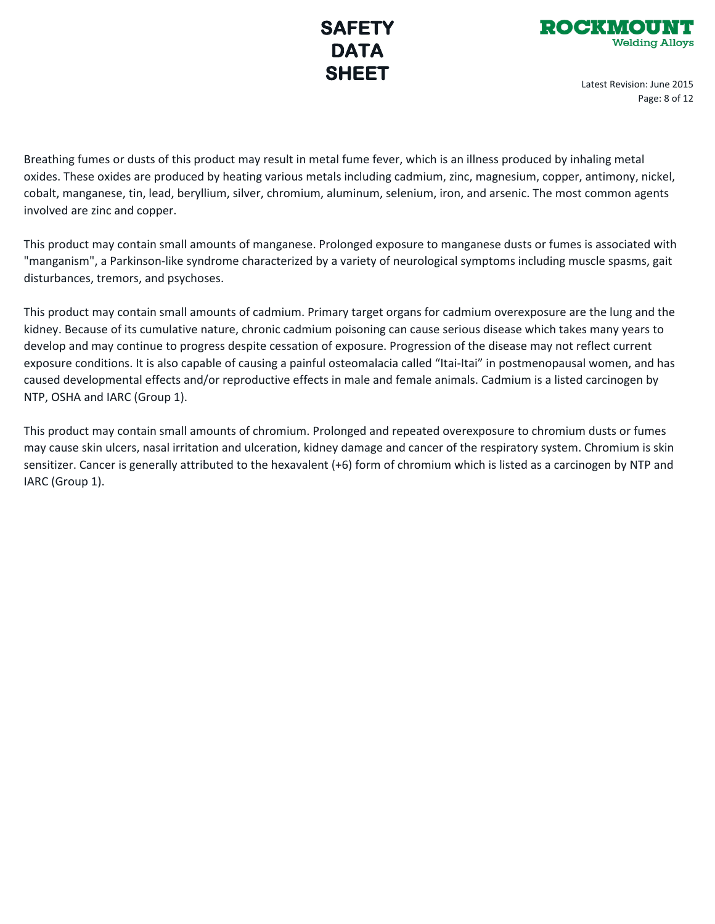

Latest Revision: June 2015 Page: 8 of 12

Breathing fumes or dusts of this product may result in metal fume fever, which is an illness produced by inhaling metal oxides. These oxides are produced by heating various metals including cadmium, zinc, magnesium, copper, antimony, nickel, cobalt, manganese, tin, lead, beryllium, silver, chromium, aluminum, selenium, iron, and arsenic. The most common agents involved are zinc and copper.

This product may contain small amounts of manganese. Prolonged exposure to manganese dusts or fumes is associated with "manganism", a Parkinson-like syndrome characterized by a variety of neurological symptoms including muscle spasms, gait disturbances, tremors, and psychoses.

This product may contain small amounts of cadmium. Primary target organs for cadmium overexposure are the lung and the kidney. Because of its cumulative nature, chronic cadmium poisoning can cause serious disease which takes many years to develop and may continue to progress despite cessation of exposure. Progression of the disease may not reflect current exposure conditions. It is also capable of causing a painful osteomalacia called "Itai-Itai" in postmenopausal women, and has caused developmental effects and/or reproductive effects in male and female animals. Cadmium is a listed carcinogen by NTP, OSHA and IARC (Group 1).

This product may contain small amounts of chromium. Prolonged and repeated overexposure to chromium dusts or fumes may cause skin ulcers, nasal irritation and ulceration, kidney damage and cancer of the respiratory system. Chromium is skin sensitizer. Cancer is generally attributed to the hexavalent (+6) form of chromium which is listed as a carcinogen by NTP and IARC (Group 1).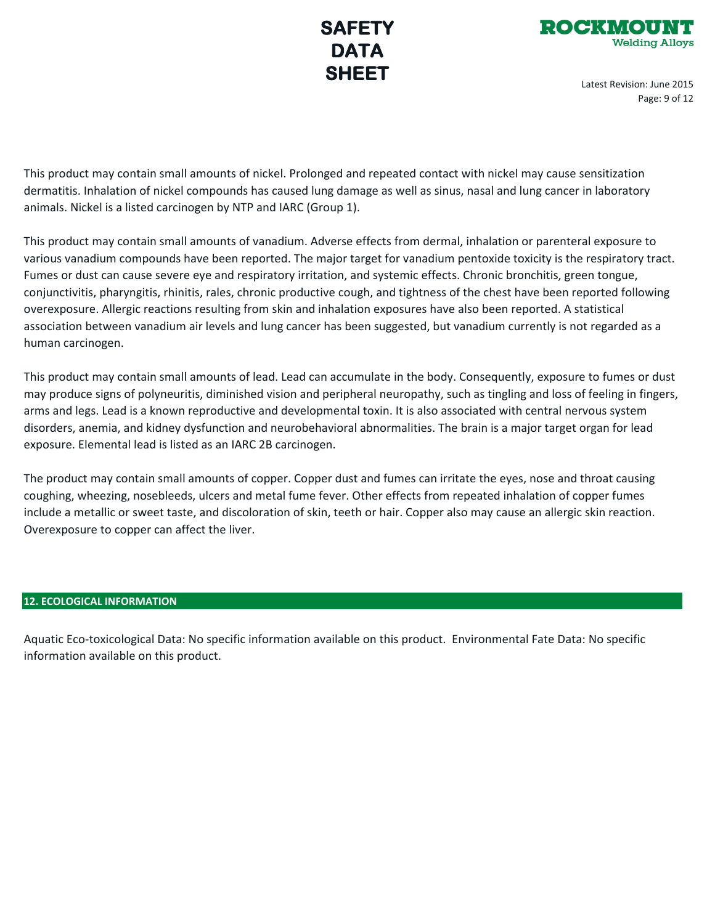

Latest Revision: June 2015 Page: 9 of 12

This product may contain small amounts of nickel. Prolonged and repeated contact with nickel may cause sensitization dermatitis. Inhalation of nickel compounds has caused lung damage as well as sinus, nasal and lung cancer in laboratory animals. Nickel is a listed carcinogen by NTP and IARC (Group 1).

This product may contain small amounts of vanadium. Adverse effects from dermal, inhalation or parenteral exposure to various vanadium compounds have been reported. The major target for vanadium pentoxide toxicity is the respiratory tract. Fumes or dust can cause severe eye and respiratory irritation, and systemic effects. Chronic bronchitis, green tongue, conjunctivitis, pharyngitis, rhinitis, rales, chronic productive cough, and tightness of the chest have been reported following overexposure. Allergic reactions resulting from skin and inhalation exposures have also been reported. A statistical association between vanadium air levels and lung cancer has been suggested, but vanadium currently is not regarded as a human carcinogen.

This product may contain small amounts of lead. Lead can accumulate in the body. Consequently, exposure to fumes or dust may produce signs of polyneuritis, diminished vision and peripheral neuropathy, such as tingling and loss of feeling in fingers, arms and legs. Lead is a known reproductive and developmental toxin. It is also associated with central nervous system disorders, anemia, and kidney dysfunction and neurobehavioral abnormalities. The brain is a major target organ for lead exposure. Elemental lead is listed as an IARC 2B carcinogen.

The product may contain small amounts of copper. Copper dust and fumes can irritate the eyes, nose and throat causing coughing, wheezing, nosebleeds, ulcers and metal fume fever. Other effects from repeated inhalation of copper fumes include a metallic or sweet taste, and discoloration of skin, teeth or hair. Copper also may cause an allergic skin reaction. Overexposure to copper can affect the liver.

## **12. ECOLOGICAL INFORMATION**

Aquatic Eco-toxicological Data: No specific information available on this product. Environmental Fate Data: No specific information available on this product.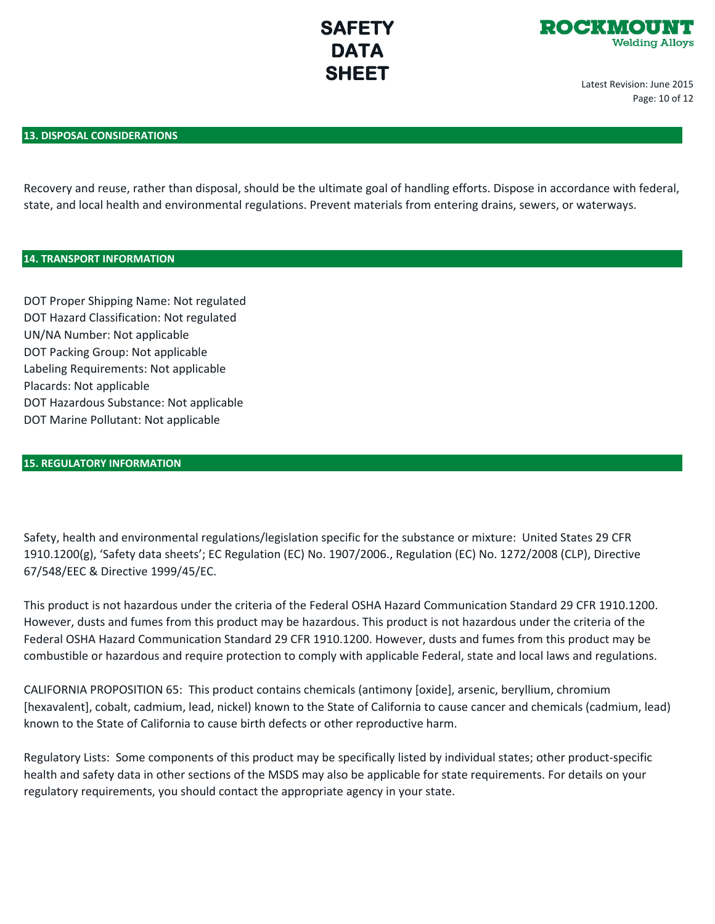

Latest Revision: June 2015 Page: 10 of 12

## **13. DISPOSAL CONSIDERATIONS**

Recovery and reuse, rather than disposal, should be the ultimate goal of handling efforts. Dispose in accordance with federal, state, and local health and environmental regulations. Prevent materials from entering drains, sewers, or waterways.

## **14. TRANSPORT INFORMATION**

DOT Proper Shipping Name: Not regulated DOT Hazard Classification: Not regulated UN/NA Number: Not applicable DOT Packing Group: Not applicable Labeling Requirements: Not applicable Placards: Not applicable DOT Hazardous Substance: Not applicable DOT Marine Pollutant: Not applicable

## **15. REGULATORY INFORMATION**

Safety, health and environmental regulations/legislation specific for the substance or mixture: United States 29 CFR 1910.1200(g), 'Safety data sheets'; EC Regulation (EC) No. 1907/2006., Regulation (EC) No. 1272/2008 (CLP), Directive 67/548/EEC & Directive 1999/45/EC.

This product is not hazardous under the criteria of the Federal OSHA Hazard Communication Standard 29 CFR 1910.1200. However, dusts and fumes from this product may be hazardous. This product is not hazardous under the criteria of the Federal OSHA Hazard Communication Standard 29 CFR 1910.1200. However, dusts and fumes from this product may be combustible or hazardous and require protection to comply with applicable Federal, state and local laws and regulations.

CALIFORNIA PROPOSITION 65: This product contains chemicals (antimony [oxide], arsenic, beryllium, chromium [hexavalent], cobalt, cadmium, lead, nickel) known to the State of California to cause cancer and chemicals (cadmium, lead) known to the State of California to cause birth defects or other reproductive harm.

Regulatory Lists: Some components of this product may be specifically listed by individual states; other product-specific health and safety data in other sections of the MSDS may also be applicable for state requirements. For details on your regulatory requirements, you should contact the appropriate agency in your state.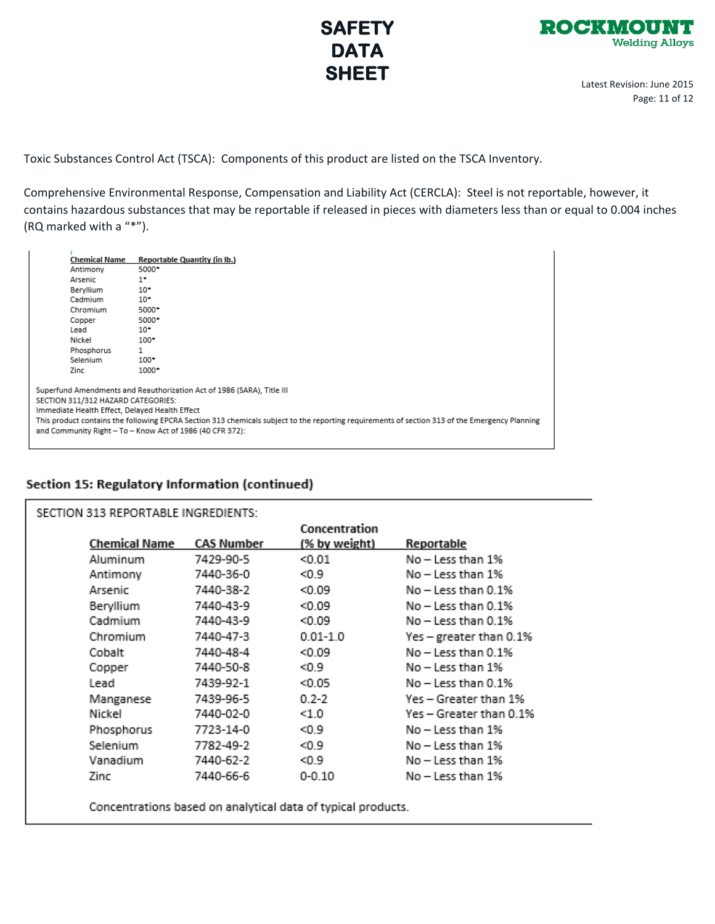



Latest Revision: June 2015 Page: 11 of 12

Toxic Substances Control Act (TSCA): Components of this product are listed on the TSCA Inventory.

Comprehensive Environmental Response, Compensation and Liability Act (CERCLA): Steel is not reportable, however, it contains hazardous substances that may be reportable if released in pieces with diameters less than or equal to 0.004 inches (RQ marked with a "\*").

| Chemical Name                      | <b>Reportable Quantity (in Ib.)</b>                                                                                                                                                                                                                                                                                                     |
|------------------------------------|-----------------------------------------------------------------------------------------------------------------------------------------------------------------------------------------------------------------------------------------------------------------------------------------------------------------------------------------|
| Antimony                           | 5000*                                                                                                                                                                                                                                                                                                                                   |
| Arsenic                            | $1^*$                                                                                                                                                                                                                                                                                                                                   |
| Bervilium                          | $10*$                                                                                                                                                                                                                                                                                                                                   |
| Cadmium                            | $10*$                                                                                                                                                                                                                                                                                                                                   |
| Chromium                           | 5000*                                                                                                                                                                                                                                                                                                                                   |
| Copper                             | 5000*                                                                                                                                                                                                                                                                                                                                   |
| Lead                               | $10^*$                                                                                                                                                                                                                                                                                                                                  |
| Nickel                             | $100*$                                                                                                                                                                                                                                                                                                                                  |
| Phosphorus                         | 1                                                                                                                                                                                                                                                                                                                                       |
| Selenium                           | $100*$                                                                                                                                                                                                                                                                                                                                  |
| Zinc                               | 1000*                                                                                                                                                                                                                                                                                                                                   |
| SECTION 311/312 HAZARD CATEGORIES: | Superfund Amendments and Reauthorization Act of 1986 (SARA), Title III<br>Immediate Health Effect, Delayed Health Effect<br>This product contains the following EPCRA Section 313 chemicals subject to the reporting requirements of section 313 of the Emergency Planning<br>and Community Right - To - Know Act of 1986 (40 CFR 372): |

## Section 15: Regulatory Information (continued)

| SECTION 313 REPORTABLE INGREDIENTS: |               |            |               |                         |  |  |  |
|-------------------------------------|---------------|------------|---------------|-------------------------|--|--|--|
|                                     |               |            | Concentration |                         |  |  |  |
|                                     | Chemical Name | CAS Number | (% by weight) | Reportable              |  |  |  |
|                                     | Aluminum      | 7429-90-5  | < 0.01        | No - Less than 1%       |  |  |  |
|                                     | Antimony      | 7440-36-0  | <0.9          | No - Less than 1%       |  |  |  |
|                                     | Arsenic       | 7440-38-2  | 0.09          | No - Less than 0.1%     |  |  |  |
|                                     | Beryllium     | 7440-43-9  | 0.09          | No - Less than 0.1%     |  |  |  |
|                                     | Cadmium       | 7440-43-9  | < 0.09        | No - Less than 0.1%     |  |  |  |
|                                     | Chromium      | 7440-47-3  | $0.01 - 1.0$  | Yes – greater than 0.1% |  |  |  |
|                                     | Cobalt        | 7440-48-4  | < 0.09        | No - Less than 0.1%     |  |  |  |
|                                     | Copper        | 7440-50-8  | $0.9$         | No – Less than 1%       |  |  |  |
|                                     | Lead          | 7439-92-1  | < 0.05        | No - Less than 0.1%     |  |  |  |
|                                     | Manganese     | 7439-96-5  | $0.2 - 2$     | Yes – Greater than 1%   |  |  |  |
|                                     | Nickel        | 7440-02-0  | < 1.0         | Yes – Greater than 0.1% |  |  |  |
|                                     | Phosphorus    | 7723-14-0  | < 0.9         | No – Less than 1%       |  |  |  |
|                                     | Selenium      | 7782-49-2  | < 0.9         | No – Less than 1%       |  |  |  |
|                                     | Vanadium      | 7440-62-2  | < 0.9         | No – Less than 1%       |  |  |  |
|                                     | Zinc          | 7440-66-6  | $0 - 0.10$    | No – Less than 1%       |  |  |  |
|                                     |               |            |               |                         |  |  |  |

Concentrations based on analytical data of typical products.